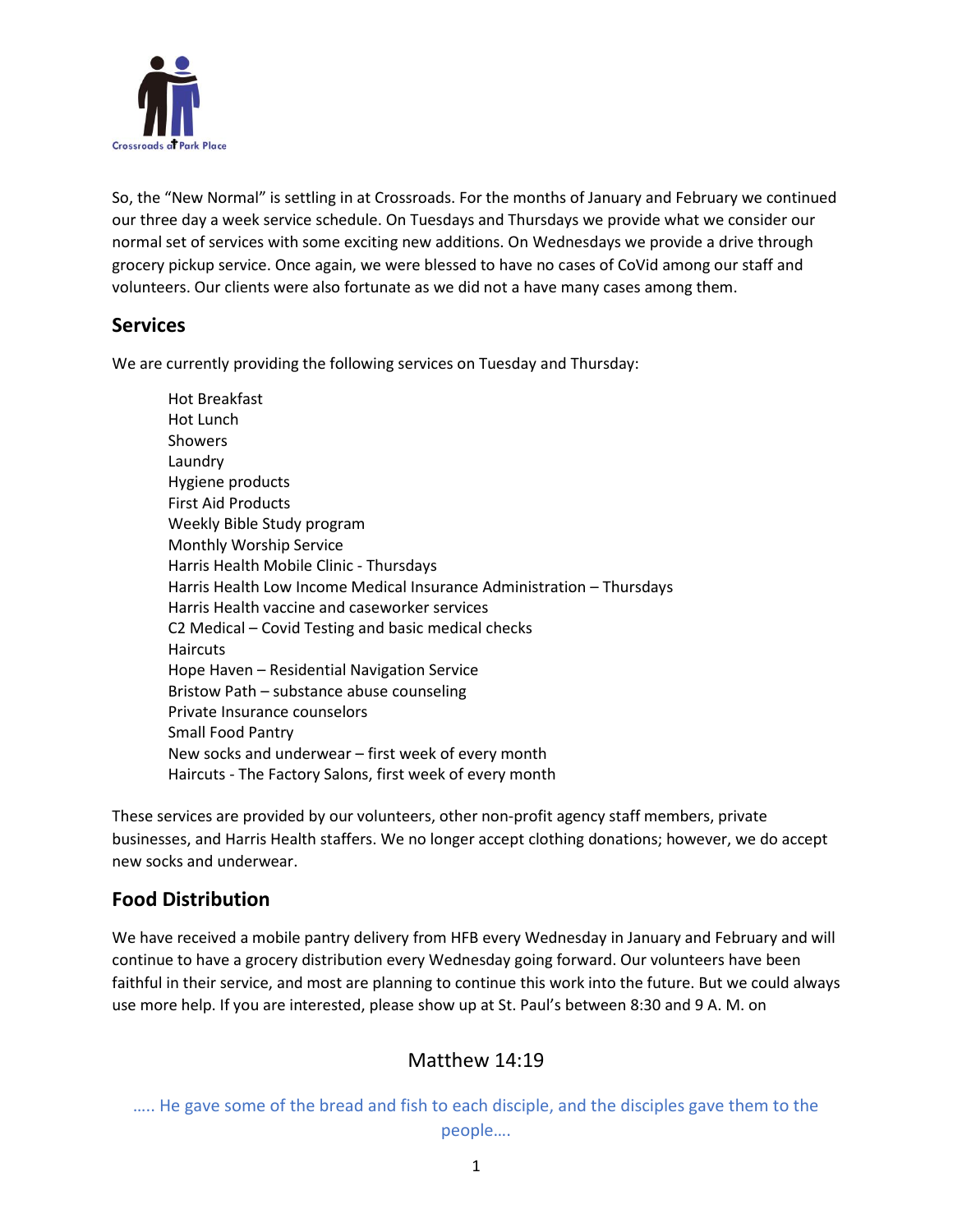

So, the "New Normal" is settling in at Crossroads. For the months of January and February we continued our three day a week service schedule. On Tuesdays and Thursdays we provide what we consider our normal set of services with some exciting new additions. On Wednesdays we provide a drive through grocery pickup service. Once again, we were blessed to have no cases of CoVid among our staff and volunteers. Our clients were also fortunate as we did not a have many cases among them.

#### **Services**

We are currently providing the following services on Tuesday and Thursday:

| Hot Breakfast                                                         |
|-----------------------------------------------------------------------|
| Hot Lunch                                                             |
| <b>Showers</b>                                                        |
| Laundry                                                               |
| Hygiene products                                                      |
| <b>First Aid Products</b>                                             |
| Weekly Bible Study program                                            |
| Monthly Worship Service                                               |
| Harris Health Mobile Clinic - Thursdays                               |
| Harris Health Low Income Medical Insurance Administration - Thursdays |
| Harris Health vaccine and caseworker services                         |
| C2 Medical – Covid Testing and basic medical checks                   |
| <b>Haircuts</b>                                                       |
| Hope Haven - Residential Navigation Service                           |
| Bristow Path – substance abuse counseling                             |
| Private Insurance counselors                                          |
| <b>Small Food Pantry</b>                                              |
| New socks and underwear – first week of every month                   |
| Haircuts - The Factory Salons, first week of every month              |

These services are provided by our volunteers, other non-profit agency staff members, private businesses, and Harris Health staffers. We no longer accept clothing donations; however, we do accept new socks and underwear.

### **Food Distribution**

We have received a mobile pantry delivery from HFB every Wednesday in January and February and will continue to have a grocery distribution every Wednesday going forward. Our volunteers have been faithful in their service, and most are planning to continue this work into the future. But we could always use more help. If you are interested, please show up at St. Paul's between 8:30 and 9 A. M. on

## Matthew 14:19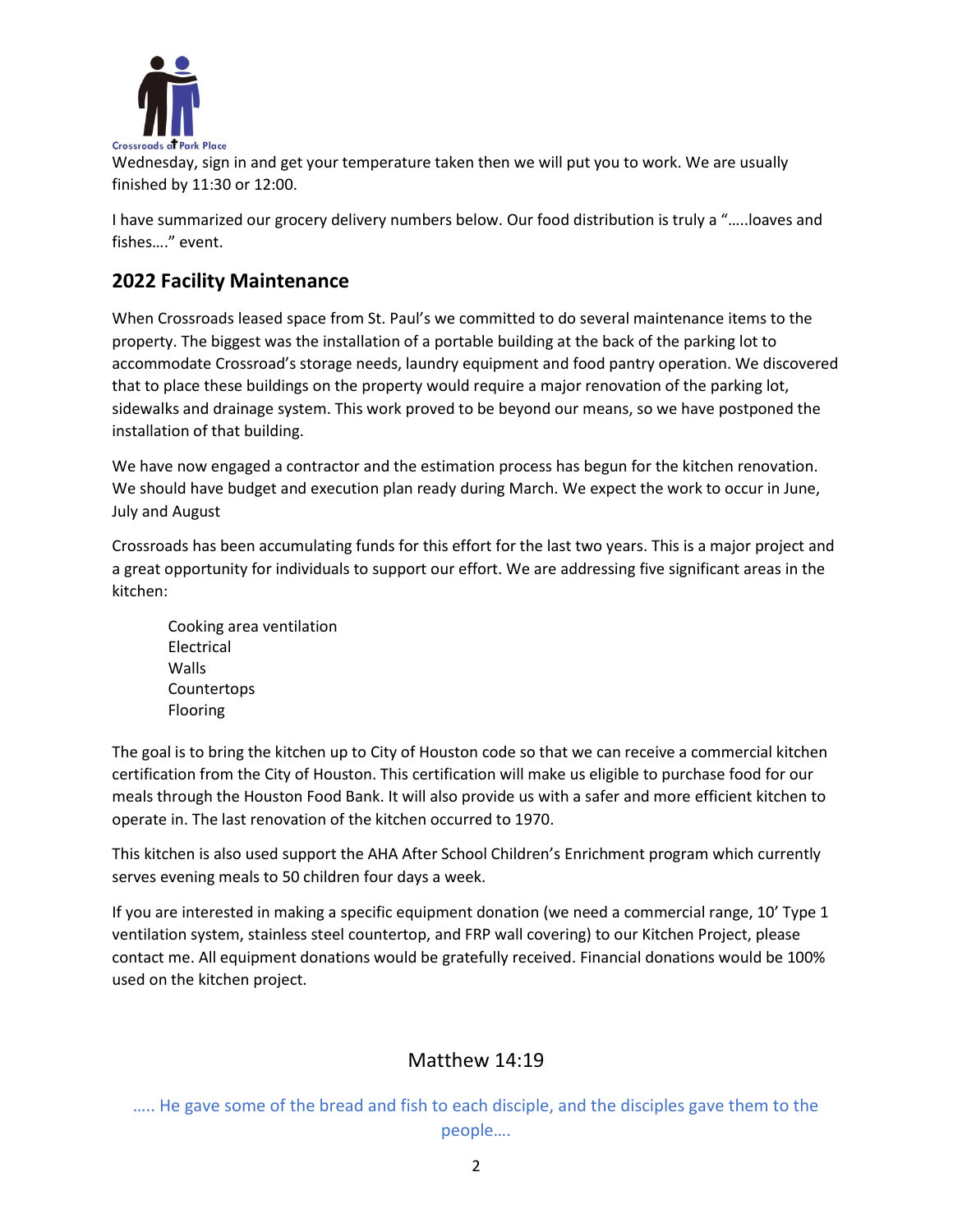

Wednesday, sign in and get your temperature taken then we will put you to work. We are usually finished by 11:30 or 12:00.

I have summarized our grocery delivery numbers below. Our food distribution is truly a "…..loaves and fishes…." event.

## **2022 Facility Maintenance**

When Crossroads leased space from St. Paul's we committed to do several maintenance items to the property. The biggest was the installation of a portable building at the back of the parking lot to accommodate Crossroad's storage needs, laundry equipment and food pantry operation. We discovered that to place these buildings on the property would require a major renovation of the parking lot, sidewalks and drainage system. This work proved to be beyond our means, so we have postponed the installation of that building.

We have now engaged a contractor and the estimation process has begun for the kitchen renovation. We should have budget and execution plan ready during March. We expect the work to occur in June, July and August

Crossroads has been accumulating funds for this effort for the last two years. This is a major project and a great opportunity for individuals to support our effort. We are addressing five significant areas in the kitchen:

Cooking area ventilation Electrical Walls Countertops Flooring

The goal is to bring the kitchen up to City of Houston code so that we can receive a commercial kitchen certification from the City of Houston. This certification will make us eligible to purchase food for our meals through the Houston Food Bank. It will also provide us with a safer and more efficient kitchen to operate in. The last renovation of the kitchen occurred to 1970.

This kitchen is also used support the AHA After School Children's Enrichment program which currently serves evening meals to 50 children four days a week.

If you are interested in making a specific equipment donation (we need a commercial range, 10' Type 1 ventilation system, stainless steel countertop, and FRP wall covering) to our Kitchen Project, please contact me. All equipment donations would be gratefully received. Financial donations would be 100% used on the kitchen project.

## Matthew 14:19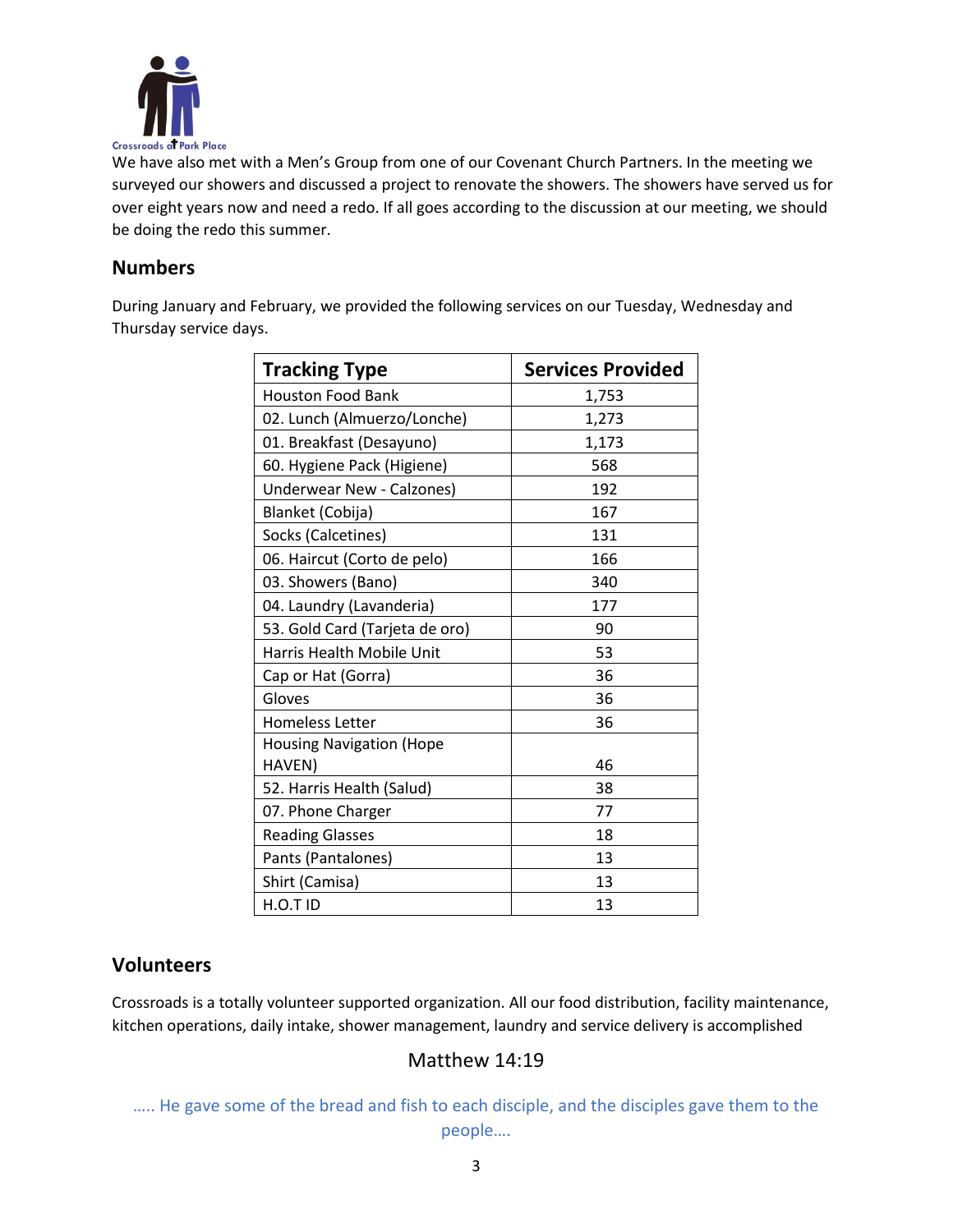

We have also met with a Men's Group from one of our Covenant Church Partners. In the meeting we surveyed our showers and discussed a project to renovate the showers. The showers have served us for over eight years now and need a redo. If all goes according to the discussion at our meeting, we should be doing the redo this summer.

#### **Numbers**

During January and February, we provided the following services on our Tuesday, Wednesday and Thursday service days.

| <b>Tracking Type</b>             | <b>Services Provided</b> |  |
|----------------------------------|--------------------------|--|
| <b>Houston Food Bank</b>         | 1,753                    |  |
| 02. Lunch (Almuerzo/Lonche)      | 1,273                    |  |
| 01. Breakfast (Desayuno)         | 1,173                    |  |
| 60. Hygiene Pack (Higiene)       | 568                      |  |
| <b>Underwear New - Calzones)</b> | 192                      |  |
| Blanket (Cobija)                 | 167                      |  |
| Socks (Calcetines)               | 131                      |  |
| 06. Haircut (Corto de pelo)      | 166                      |  |
| 03. Showers (Bano)               | 340                      |  |
| 04. Laundry (Lavanderia)         | 177                      |  |
| 53. Gold Card (Tarjeta de oro)   | 90                       |  |
| Harris Health Mobile Unit        | 53                       |  |
| Cap or Hat (Gorra)               | 36                       |  |
| Gloves                           | 36                       |  |
| <b>Homeless Letter</b>           | 36                       |  |
| <b>Housing Navigation (Hope</b>  |                          |  |
| HAVEN)                           | 46                       |  |
| 52. Harris Health (Salud)        | 38                       |  |
| 07. Phone Charger                | 77                       |  |
| <b>Reading Glasses</b>           | 18                       |  |
| Pants (Pantalones)               | 13                       |  |
| Shirt (Camisa)                   | 13                       |  |
| H.O.T ID                         | 13                       |  |

### **Volunteers**

Crossroads is a totally volunteer supported organization. All our food distribution, facility maintenance, kitchen operations, daily intake, shower management, laundry and service delivery is accomplished

## Matthew 14:19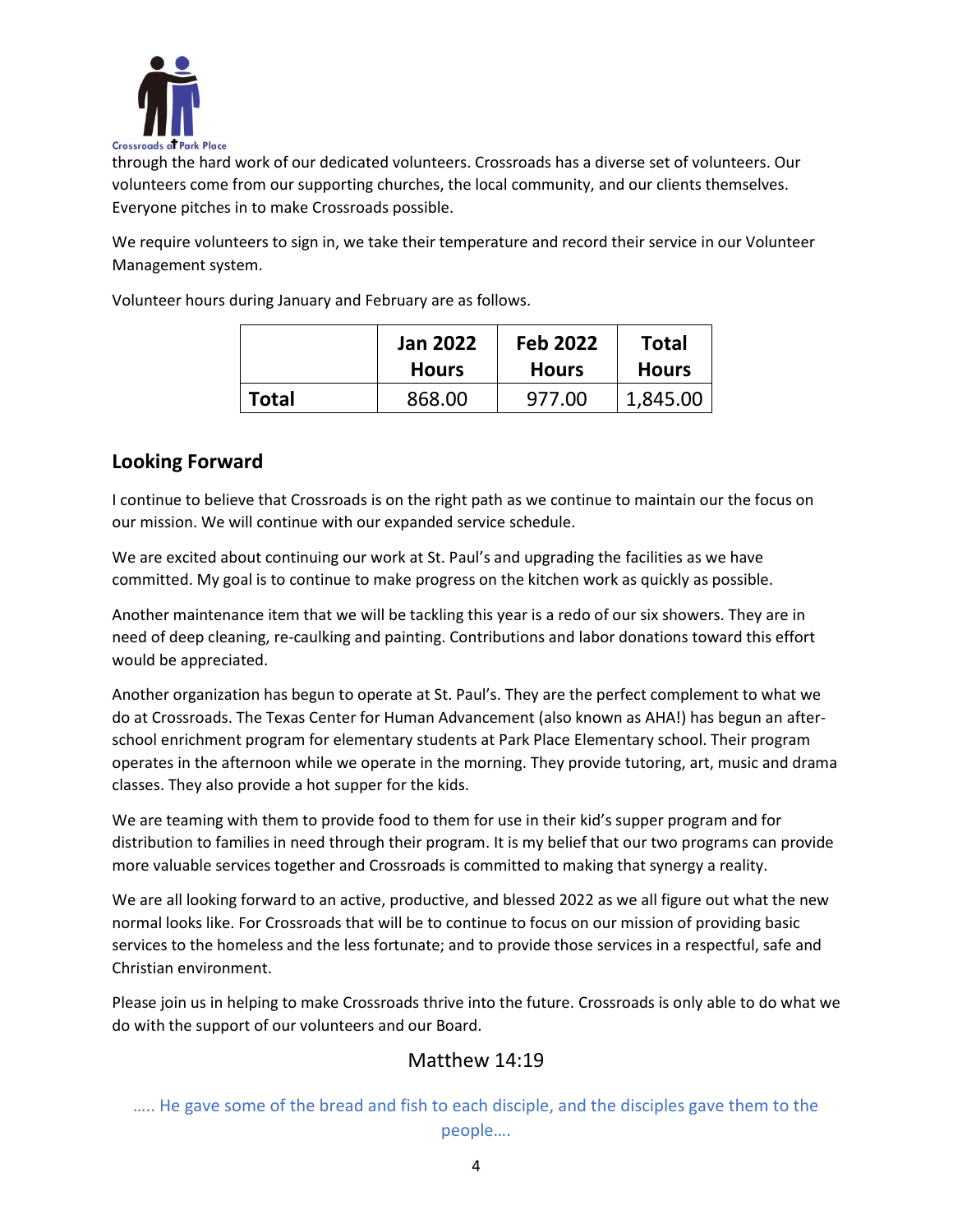

through the hard work of our dedicated volunteers. Crossroads has a diverse set of volunteers. Our volunteers come from our supporting churches, the local community, and our clients themselves. Everyone pitches in to make Crossroads possible.

We require volunteers to sign in, we take their temperature and record their service in our Volunteer Management system.

Volunteer hours during January and February are as follows.

|       | <b>Jan 2022</b> | <b>Feb 2022</b> | <b>Total</b> |
|-------|-----------------|-----------------|--------------|
|       | <b>Hours</b>    | <b>Hours</b>    | <b>Hours</b> |
| Total | 868.00          | 977.00          | 1,845.00     |

### **Looking Forward**

I continue to believe that Crossroads is on the right path as we continue to maintain our the focus on our mission. We will continue with our expanded service schedule.

We are excited about continuing our work at St. Paul's and upgrading the facilities as we have committed. My goal is to continue to make progress on the kitchen work as quickly as possible.

Another maintenance item that we will be tackling this year is a redo of our six showers. They are in need of deep cleaning, re-caulking and painting. Contributions and labor donations toward this effort would be appreciated.

Another organization has begun to operate at St. Paul's. They are the perfect complement to what we do at Crossroads. The Texas Center for Human Advancement (also known as AHA!) has begun an afterschool enrichment program for elementary students at Park Place Elementary school. Their program operates in the afternoon while we operate in the morning. They provide tutoring, art, music and drama classes. They also provide a hot supper for the kids.

We are teaming with them to provide food to them for use in their kid's supper program and for distribution to families in need through their program. It is my belief that our two programs can provide more valuable services together and Crossroads is committed to making that synergy a reality.

We are all looking forward to an active, productive, and blessed 2022 as we all figure out what the new normal looks like. For Crossroads that will be to continue to focus on our mission of providing basic services to the homeless and the less fortunate; and to provide those services in a respectful, safe and Christian environment.

Please join us in helping to make Crossroads thrive into the future. Crossroads is only able to do what we do with the support of our volunteers and our Board.

### Matthew 14:19